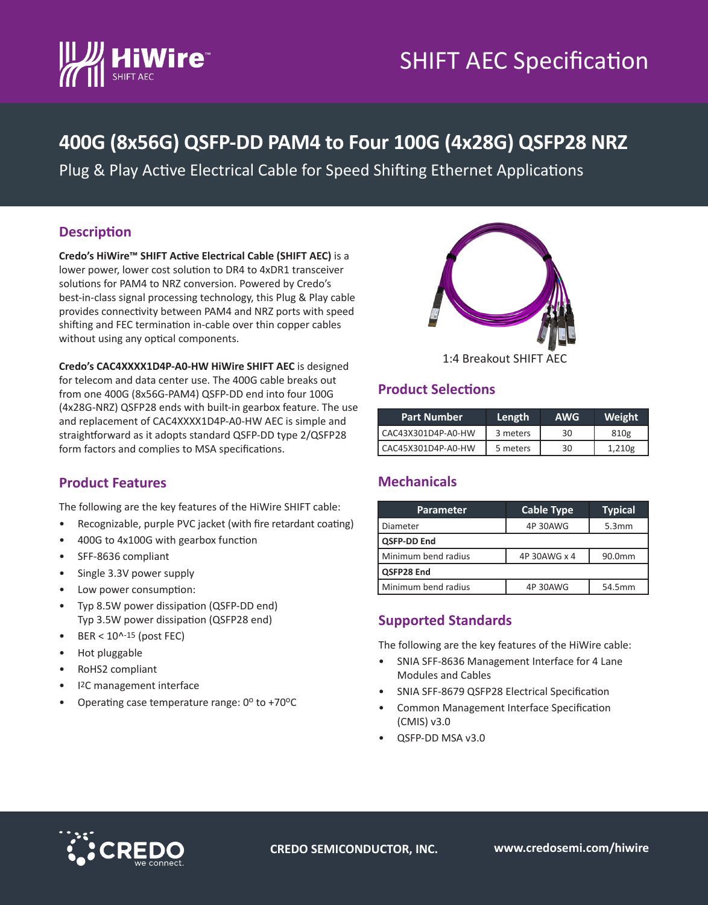

# SHIFT AEC Specification

### **400G (8x56G) QSFP-DD PAM4 to Four 100G (4x28G) QSFP28 NRZ**

Plug & Play Active Electrical Cable for Speed Shifting Ethernet Applications

#### **Description**

**Credo's HiWire™ SHIFT Active Electrical Cable (SHIFT AEC)** is a lower power, lower cost solution to DR4 to 4xDR1 transceiver solutions for PAM4 to NRZ conversion. Powered by Credo's best-in-class signal processing technology, this Plug & Play cable provides connectivity between PAM4 and NRZ ports with speed shifting and FEC termination in-cable over thin copper cables without using any optical components.



**Credo's CAC4XXXX1D4P-A0-HW HiWire SHIFT AEC** is designed for telecom and data center use. The 400G cable breaks out from one 400G (8x56G-PAM4) QSFP-DD end into four 100G (4x28G-NRZ) QSFP28 ends with built-in gearbox feature. The use and replacement of CAC4XXXX1D4P-A0-HW AEC is simple and straightforward as it adopts standard QSFP-DD type 2/QSFP28 form factors and complies to MSA specifications.

### **Product Features**

The following are the key features of the HiWire SHIFT cable:

- Recognizable, purple PVC jacket (with fire retardant coating)
- 400G to 4x100G with gearbox function
- SFF-8636 compliant
- Single 3.3V power supply
- Low power consumption:
- Typ 8.5W power dissipation (QSFP-DD end) Typ 3.5W power dissipation (QSFP28 end)
- $BER < 10<sup>15</sup>$  (post FEC)
- Hot pluggable
- RoHS2 compliant
- I2C management interface
- Operating case temperature range:  $0^{\circ}$  to +70 $^{\circ}$ C

## **Product Selections**

| <b>Part Number</b> | Length   | <b>AWG</b> | Weight |
|--------------------|----------|------------|--------|
| CAC43X301D4P-A0-HW | 3 meters | 30         | 810g   |
| CAC45X301D4P-A0-HW | 5 meters | 30         | 1,210g |

### **Mechanicals**

| <b>Parameter</b>    | <b>Cable Type</b> | <b>Typical</b> |  |  |
|---------------------|-------------------|----------------|--|--|
| Diameter            | 4P 30AWG          | 5.3mm          |  |  |
| <b>QSFP-DD End</b>  |                   |                |  |  |
| Minimum bend radius | 4P 30AWG x 4      | 90.0mm         |  |  |
| QSFP28 End          |                   |                |  |  |
| Minimum bend radius | 4P 30AWG          | 54.5mm         |  |  |

### **Supported Standards**

The following are the key features of the HiWire cable:

- SNIA SFF-8636 Management Interface for 4 Lane Modules and Cables
- SNIA SFF-8679 QSFP28 Electrical Specification
- Common Management Interface Specification (CMIS) v3.0
- QSFP-DD MSA v3.0



**CREDO SEMICONDUCTOR, INC. www.credosemi.com/hiwire**